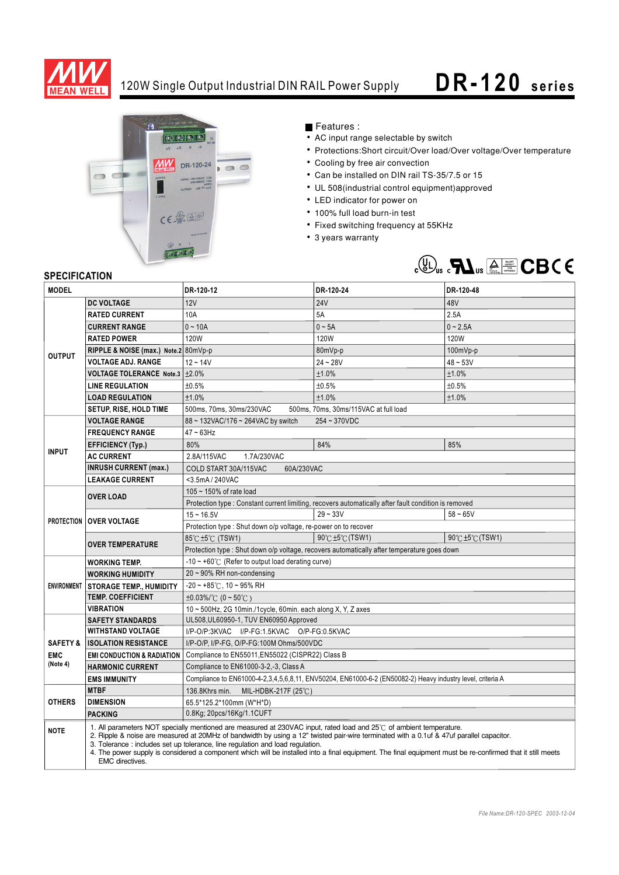

## 120W Single Output Industrial DIN RAIL Power Supply **DR -120** series



Features :

- AC input range selectable by switch
- Protections:Short circuit/Over load/Over voltage/Over temperature
- Cooling by free air convection
- Can be installed on DIN rail TS-35/7.5 or 15
- UL 508(industrial control equipment)approved
- LED indicator for power on
- 100% full load burn-in test
- Fixed switching frequency at 55KHz
- 3 years warranty



## **SPECIFICATION**

| <b>MODEL</b>           |                                                                                                                                                                                                                                                                                                                                                                                                                                                                                                                                   | DR-120-12                                                                                                  | DR-120-24        | DR-120-48        |
|------------------------|-----------------------------------------------------------------------------------------------------------------------------------------------------------------------------------------------------------------------------------------------------------------------------------------------------------------------------------------------------------------------------------------------------------------------------------------------------------------------------------------------------------------------------------|------------------------------------------------------------------------------------------------------------|------------------|------------------|
| <b>OUTPUT</b>          | <b>DC VOLTAGE</b>                                                                                                                                                                                                                                                                                                                                                                                                                                                                                                                 | 12V                                                                                                        | <b>24V</b>       | 48V              |
|                        | <b>RATED CURRENT</b>                                                                                                                                                                                                                                                                                                                                                                                                                                                                                                              | 10A                                                                                                        | 5A               | 2.5A             |
|                        | <b>CURRENT RANGE</b>                                                                                                                                                                                                                                                                                                                                                                                                                                                                                                              | $0 - 10A$                                                                                                  | $0 - 5A$         | $0 - 2.5A$       |
|                        | <b>RATED POWER</b>                                                                                                                                                                                                                                                                                                                                                                                                                                                                                                                | <b>120W</b>                                                                                                | 120W             | 120W             |
|                        | RIPPLE & NOISE (max.) Note.2 80mVp-p                                                                                                                                                                                                                                                                                                                                                                                                                                                                                              |                                                                                                            | 80mVp-p          | $100mVp-p$       |
|                        | <b>VOLTAGE ADJ. RANGE</b>                                                                                                                                                                                                                                                                                                                                                                                                                                                                                                         | $12 - 14V$                                                                                                 | $24 - 28V$       | $48 - 53V$       |
|                        | <b>VOLTAGE TOLERANCE Note.3</b>                                                                                                                                                                                                                                                                                                                                                                                                                                                                                                   | $\pm 2.0\%$                                                                                                | ±1.0%            | ±1.0%            |
|                        | <b>LINE REGULATION</b>                                                                                                                                                                                                                                                                                                                                                                                                                                                                                                            | ±0.5%                                                                                                      | ±0.5%            | ±0.5%            |
|                        | <b>LOAD REGULATION</b>                                                                                                                                                                                                                                                                                                                                                                                                                                                                                                            | ±1.0%                                                                                                      | ±1.0%            | ±1.0%            |
|                        | SETUP, RISE, HOLD TIME                                                                                                                                                                                                                                                                                                                                                                                                                                                                                                            | 500ms, 70ms, 30ms/230VAC<br>500ms, 70ms, 30ms/115VAC at full load                                          |                  |                  |
|                        | <b>VOLTAGE RANGE</b>                                                                                                                                                                                                                                                                                                                                                                                                                                                                                                              | 88 ~ 132VAC/176 ~ 264VAC by switch<br>$254 - 370VDC$                                                       |                  |                  |
| <b>INPUT</b>           | <b>FREQUENCY RANGE</b>                                                                                                                                                                                                                                                                                                                                                                                                                                                                                                            | $47 - 63$ Hz                                                                                               |                  |                  |
|                        | <b>EFFICIENCY (Typ.)</b>                                                                                                                                                                                                                                                                                                                                                                                                                                                                                                          | 80%                                                                                                        | 84%              | 85%              |
|                        | <b>AC CURRENT</b>                                                                                                                                                                                                                                                                                                                                                                                                                                                                                                                 | 2.8A/115VAC<br>1.7A/230VAC                                                                                 |                  |                  |
|                        | <b>INRUSH CURRENT (max.)</b>                                                                                                                                                                                                                                                                                                                                                                                                                                                                                                      | COLD START 30A/115VAC<br>60A/230VAC                                                                        |                  |                  |
|                        | <b>LEAKAGE CURRENT</b>                                                                                                                                                                                                                                                                                                                                                                                                                                                                                                            | <3.5mA / 240VAC                                                                                            |                  |                  |
|                        | <b>OVER LOAD</b>                                                                                                                                                                                                                                                                                                                                                                                                                                                                                                                  | 105 ~ 150% of rate load                                                                                    |                  |                  |
|                        |                                                                                                                                                                                                                                                                                                                                                                                                                                                                                                                                   | Protection type : Constant current limiting, recovers automatically after fault condition is removed       |                  |                  |
|                        | <b>PROTECTION   OVER VOLTAGE</b>                                                                                                                                                                                                                                                                                                                                                                                                                                                                                                  | $15 - 16.5V$                                                                                               | $29 - 33V$       | $58 - 65V$       |
|                        |                                                                                                                                                                                                                                                                                                                                                                                                                                                                                                                                   | Protection type: Shut down o/p voltage, re-power on to recover                                             |                  |                  |
|                        | <b>OVER TEMPERATURE</b>                                                                                                                                                                                                                                                                                                                                                                                                                                                                                                           | 85℃±5℃ (TSW1)                                                                                              | 90°C ±5°C (TSW1) | 90°C ±5°C (TSW1) |
|                        |                                                                                                                                                                                                                                                                                                                                                                                                                                                                                                                                   | Protection type : Shut down o/p voltage, recovers automatically after temperature goes down                |                  |                  |
|                        | <b>WORKING TEMP.</b>                                                                                                                                                                                                                                                                                                                                                                                                                                                                                                              | $-10 \sim +60^{\circ}$ (Refer to output load derating curve)                                               |                  |                  |
|                        | <b>WORKING HUMIDITY</b>                                                                                                                                                                                                                                                                                                                                                                                                                                                                                                           | 20 ~ 90% RH non-condensing                                                                                 |                  |                  |
|                        | ENVIRONMENT   STORAGE TEMP., HUMIDITY                                                                                                                                                                                                                                                                                                                                                                                                                                                                                             | $-20$ ~ +85°C, 10 ~ 95% RH                                                                                 |                  |                  |
|                        | <b>TEMP. COEFFICIENT</b>                                                                                                                                                                                                                                                                                                                                                                                                                                                                                                          | $\pm 0.03\%$ /°C (0 ~ 50°C)                                                                                |                  |                  |
|                        | <b>VIBRATION</b>                                                                                                                                                                                                                                                                                                                                                                                                                                                                                                                  | 10 ~ 500Hz, 2G 10min./1cycle, 60min. each along X, Y, Z axes                                               |                  |                  |
|                        | <b>SAFETY STANDARDS</b>                                                                                                                                                                                                                                                                                                                                                                                                                                                                                                           | UL508, UL60950-1, TUV EN60950 Approved                                                                     |                  |                  |
|                        | <b>WITHSTAND VOLTAGE</b>                                                                                                                                                                                                                                                                                                                                                                                                                                                                                                          | I/P-O/P:3KVAC I/P-FG:1.5KVAC O/P-FG:0.5KVAC                                                                |                  |                  |
| <b>SAFETY &amp;</b>    | <b>ISOLATION RESISTANCE</b>                                                                                                                                                                                                                                                                                                                                                                                                                                                                                                       | I/P-O/P, I/P-FG, O/P-FG:100M Ohms/500VDC                                                                   |                  |                  |
| <b>EMC</b><br>(Note 4) | <b>EMI CONDUCTION &amp; RADIATION</b>                                                                                                                                                                                                                                                                                                                                                                                                                                                                                             | Compliance to EN55011, EN55022 (CISPR22) Class B                                                           |                  |                  |
|                        | <b>HARMONIC CURRENT</b>                                                                                                                                                                                                                                                                                                                                                                                                                                                                                                           | Compliance to EN61000-3-2,-3, Class A                                                                      |                  |                  |
|                        | <b>EMS IMMUNITY</b><br><b>MTBF</b>                                                                                                                                                                                                                                                                                                                                                                                                                                                                                                | Compliance to EN61000-4-2,3,4,5,6,8,11, ENV50204, EN61000-6-2 (EN50082-2) Heavy industry level, criteria A |                  |                  |
| <b>OTHERS</b>          | <b>DIMENSION</b>                                                                                                                                                                                                                                                                                                                                                                                                                                                                                                                  | 136.8Khrs min. MIL-HDBK-217F (25°C)<br>65.5*125.2*100mm (W*H*D)                                            |                  |                  |
|                        | <b>PACKING</b>                                                                                                                                                                                                                                                                                                                                                                                                                                                                                                                    | 0.8Kg; 20pcs/16Kg/1.1CUFT                                                                                  |                  |                  |
|                        |                                                                                                                                                                                                                                                                                                                                                                                                                                                                                                                                   |                                                                                                            |                  |                  |
| <b>NOTE</b>            | 1. All parameters NOT specially mentioned are measured at 230VAC input, rated load and 25°C of ambient temperature.<br>2. Ripple & noise are measured at 20MHz of bandwidth by using a 12" twisted pair-wire terminated with a 0.1uf & 47uf parallel capacitor.<br>3. Tolerance: includes set up tolerance, line regulation and load regulation.<br>4. The power supply is considered a component which will be installed into a final equipment. The final equipment must be re-confirmed that it still meets<br>EMC directives. |                                                                                                            |                  |                  |